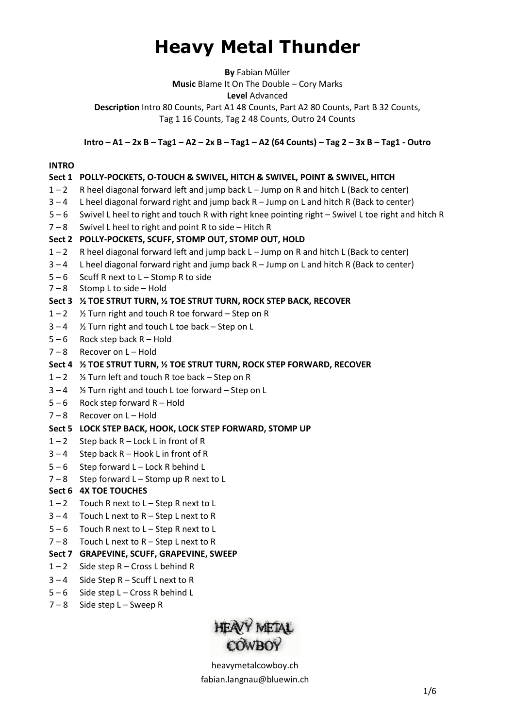# **Heavy Metal Thunder**

**By** Fabian Müller

**Music** Blame It On The Double – Cory Marks

**Level** Advanced

**Description** Intro 80 Counts, Part A1 48 Counts, Part A2 80 Counts, Part B 32 Counts, Tag 1 16 Counts, Tag 2 48 Counts, Outro 24 Counts

 $Intro - A1 - 2x B - Tag1 - A2 - 2x B - Tag1 - A2 (64 \text{ Counts}) - Tag 2 - 3x B - Tag1 - Outro$ 

#### **INTRO**

## **Sect 1 POLLY-POCKETS, O-TOUCH & SWIVEL, HITCH & SWIVEL, POINT & SWIVEL, HITCH** 1 – 2 R heel diagonal forward left and jump back L – Jump on R and hitch L (Back to center) 3 – 4 L heel diagonal forward right and jump back R – Jump on L and hitch R (Back to center) 5 – 6 Swivel L heel to right and touch R with right knee pointing right – Swivel L toe right and hitch R  $7 - 8$  Swivel L heel to right and point R to side – Hitch R **Sect 2 POLLY-POCKETS, SCUFF, STOMP OUT, STOMP OUT, HOLD** 1 – 2 R heel diagonal forward left and jump back L – Jump on R and hitch L (Back to center)  $3 - 4$  L heel diagonal forward right and jump back R – Jump on L and hitch R (Back to center)  $5 - 6$  Scuff R next to  $L -$  Stomp R to side 7 – 8 Stomp L to side – Hold **Sect 3 ½ TOE STRUT TURN, ½ TOE STRUT TURN, ROCK STEP BACK, RECOVER**  $1 - 2$  % Turn right and touch R toe forward – Step on R 3 – 4 ½ Turn right and touch L toe back – Step on L  $5 - 6$  Rock step back R – Hold 7 – 8 Recover on L – Hold **Sect 4 ½ TOE STRUT TURN, ½ TOE STRUT TURN, ROCK STEP FORWARD, RECOVER**  $1 - 2$  % Turn left and touch R toe back – Step on R  $3 - 4$  % Turn right and touch L toe forward – Step on L  $5 - 6$  Rock step forward R - Hold 7 – 8 Recover on L – Hold **Sect 5 LOCK STEP BACK, HOOK, LOCK STEP FORWARD, STOMP UP**  $1 - 2$  Step back R – Lock L in front of R  $3 - 4$  Step back R – Hook L in front of R 5 – 6 Step forward L – Lock R behind L  $7 - 8$  Step forward L – Stomp up R next to L **Sect 6 4X TOE TOUCHES** 1 – 2 Touch R next to L – Step R next to L  $3 - 4$  Touch L next to R – Step L next to R 5 – 6 Touch R next to L – Step R next to L 7 – 8 Touch L next to R – Step L next to R **Sect 7 GRAPEVINE, SCUFF, GRAPEVINE, SWEEP**  $1 - 2$  Side step R – Cross L behind R 3 – 4 Side Step R – Scuff L next to R

- $5 6$  Side step L Cross R behind L
- 7 8 Side step L Sweep R

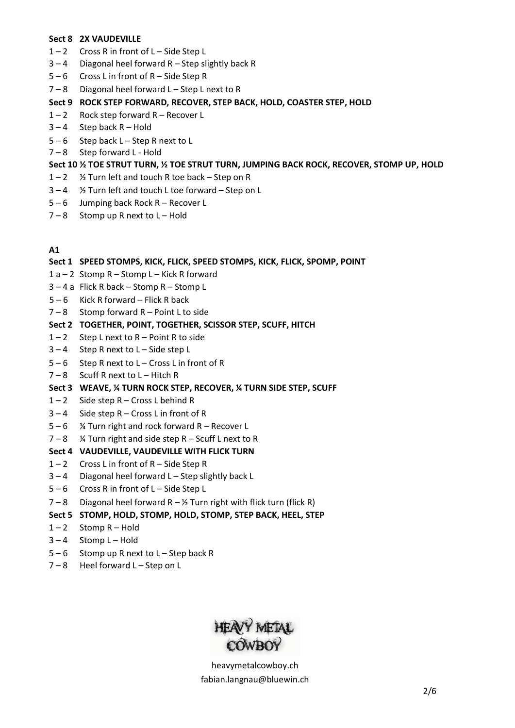#### **Sect 8 2X VAUDEVILLE**

- $1 2$  Cross R in front of L Side Step L
- 3 4 Diagonal heel forward R Step slightly back R
- $5 6$  Cross L in front of R Side Step R
- $7 8$  Diagonal heel forward L Step L next to R

# **Sect 9 ROCK STEP FORWARD, RECOVER, STEP BACK, HOLD, COASTER STEP, HOLD**

- $1 2$  Rock step forward R Recover L
- $3 4$  Step back R Hold
- 5 6 Step back L Step R next to L
- $7 8$  Step forward L Hold

# **Sect 10 ½ TOE STRUT TURN, ½ TOE STRUT TURN, JUMPING BACK ROCK, RECOVER, STOMP UP, HOLD**

- $1 2$  % Turn left and touch R toe back Step on R
- 3 4 ½ Turn left and touch L toe forward Step on L
- 5 6 Jumping back Rock R Recover L
- $7 8$  Stomp up R next to L Hold

#### **A1**

## **Sect 1 SPEED STOMPS, KICK, FLICK, SPEED STOMPS, KICK, FLICK, SPOMP, POINT**

- 1 a 2 Stomp R Stomp L Kick R forward
- 3 4 a Flick R back Stomp R Stomp L
- $5 6$  Kick R forward Flick R back
- $7 8$  Stomp forward R Point L to side

## **Sect 2 TOGETHER, POINT, TOGETHER, SCISSOR STEP, SCUFF, HITCH**

- $1 2$  Step L next to R Point R to side
- $3 4$  Step R next to  $L -$  Side step L
- $5 6$  Step R next to L Cross L in front of R
- 7 8 Scuff R next to L Hitch R

#### **Sect 3 WEAVE, ¼ TURN ROCK STEP, RECOVER, ¼ TURN SIDE STEP, SCUFF**

- $1 2$  Side step R Cross L behind R
- 3 4 Side step R Cross L in front of R
- $5 6$  % Turn right and rock forward R Recover L

#### $7 - 8$  % Turn right and side step R - Scuff L next to R

## **Sect 4 VAUDEVILLE, VAUDEVILLE WITH FLICK TURN**

- $1 2$  Cross L in front of R Side Step R
- 3 4 Diagonal heel forward L Step slightly back L
- 5 6 Cross R in front of L Side Step L
- $7 8$  Diagonal heel forward R 1/2 Turn right with flick turn (flick R)

#### **Sect 5 STOMP, HOLD, STOMP, HOLD, STOMP, STEP BACK, HEEL, STEP**

- $1 2$  Stomp R Hold
- $3 4$  Stomp L Hold
- $5 6$  Stomp up R next to  $L -$  Step back R
- $7 8$  Heel forward L Step on L

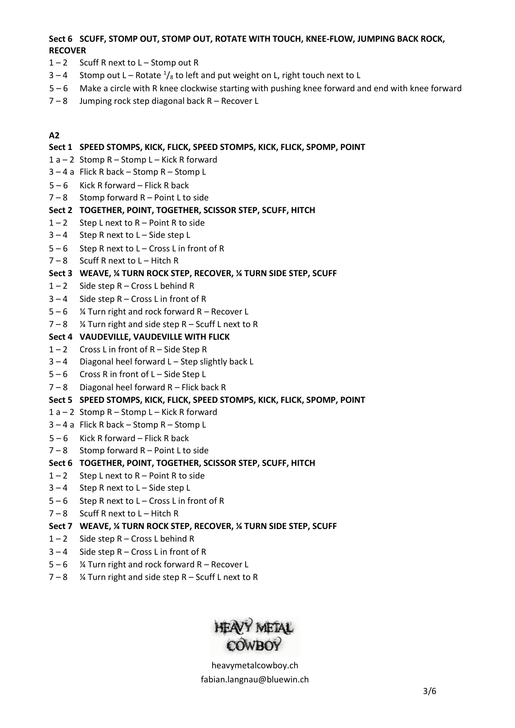## **Sect 6 SCUFF, STOMP OUT, STOMP OUT, ROTATE WITH TOUCH, KNEE-FLOW, JUMPING BACK ROCK, RECOVER**

- $1 2$  Scuff R next to L Stomp out R
- 3 4 Stomp out L Rotate  $\frac{1}{8}$  to left and put weight on L, right touch next to L
- 5 6 Make a circle with R knee clockwise starting with pushing knee forward and end with knee forward
- 7 8 Jumping rock step diagonal back R Recover L

#### **A2**

#### **Sect 1 SPEED STOMPS, KICK, FLICK, SPEED STOMPS, KICK, FLICK, SPOMP, POINT**

- $1 a 2$  Stomp R Stomp L Kick R forward
- 3 4 a Flick R back Stomp R Stomp L
- $5 6$  Kick R forward Flick R back
- $7 8$  Stomp forward R Point L to side

#### **Sect 2 TOGETHER, POINT, TOGETHER, SCISSOR STEP, SCUFF, HITCH**

- $1 2$  Step L next to R Point R to side
- $3 4$  Step R next to  $L -$  Side step L
- $5 6$  Step R next to L Cross L in front of R
- $7 8$  Scuff R next to L Hitch R

## **Sect 3 WEAVE, ¼ TURN ROCK STEP, RECOVER, ¼ TURN SIDE STEP, SCUFF**

- $1 2$  Side step R Cross L behind R
- 3 4 Side step R Cross L in front of R
- $5 6$  % Turn right and rock forward R Recover L
- $7 8$  % Turn right and side step R Scuff L next to R

#### **Sect 4 VAUDEVILLE, VAUDEVILLE WITH FLICK**

- $1 2$  Cross L in front of R Side Step R
- 3 4 Diagonal heel forward L Step slightly back L
- 5 6 Cross R in front of L Side Step L
- $7 8$  Diagonal heel forward R Flick back R

#### **Sect 5 SPEED STOMPS, KICK, FLICK, SPEED STOMPS, KICK, FLICK, SPOMP, POINT**

- $1 a 2$  Stomp R Stomp L Kick R forward
- 3 4 a Flick R back Stomp R Stomp L
- $5 6$  Kick R forward Flick R back
- 7 8 Stomp forward R Point L to side

#### **Sect 6 TOGETHER, POINT, TOGETHER, SCISSOR STEP, SCUFF, HITCH**

- $1 2$  Step L next to R Point R to side
- $3 4$  Step R next to  $L -$  Side step L
- $5 6$  Step R next to  $L Cross$  L in front of R
- $7 8$  Scuff R next to L Hitch R

#### **Sect 7 WEAVE, ¼ TURN ROCK STEP, RECOVER, ¼ TURN SIDE STEP, SCUFF**

- $1 2$  Side step R Cross L behind R
- $3 4$  Side step R Cross L in front of R
- $5 6$  % Turn right and rock forward R Recover L
- $7 8$  % Turn right and side step R Scuff L next to R

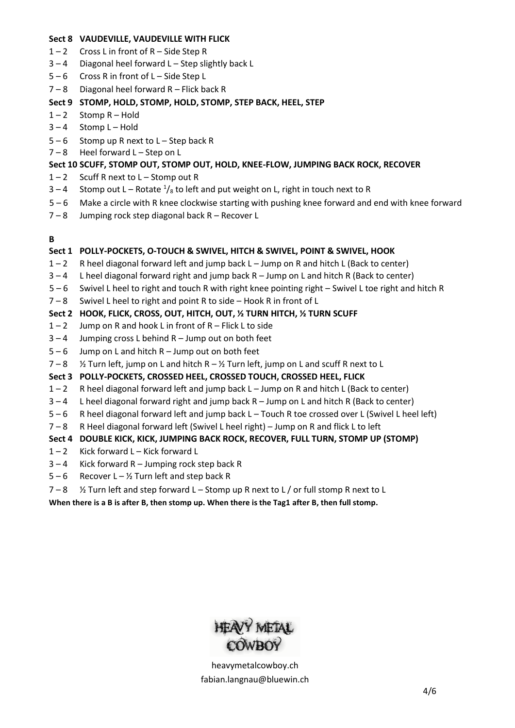#### **Sect 8 VAUDEVILLE, VAUDEVILLE WITH FLICK**

- $1 2$  Cross L in front of R Side Step R
- $3 4$  Diagonal heel forward L Step slightly back L
- 5 6 Cross R in front of L Side Step L
- $7 8$  Diagonal heel forward R Flick back R

## **Sect 9 STOMP, HOLD, STOMP, HOLD, STOMP, STEP BACK, HEEL, STEP**

- $1 2$  Stomp R Hold
- $3 4$  Stomp L-Hold
- $5 6$  Stomp up R next to  $L -$  Step back R
- $7 8$  Heel forward L Step on L

## **Sect 10 SCUFF, STOMP OUT, STOMP OUT, HOLD, KNEE-FLOW, JUMPING BACK ROCK, RECOVER**

- $1 2$  Scuff R next to L Stomp out R
- 3 4 Stomp out L Rotate  $\frac{1}{s}$  to left and put weight on L, right in touch next to R
- 5 6 Make a circle with R knee clockwise starting with pushing knee forward and end with knee forward
- 7 8 Jumping rock step diagonal back R Recover L

## **B**

## **Sect 1 POLLY-POCKETS, O-TOUCH & SWIVEL, HITCH & SWIVEL, POINT & SWIVEL, HOOK**

- 1 2 R heel diagonal forward left and jump back L Jump on R and hitch L (Back to center)
- $3 4$  L heel diagonal forward right and jump back R Jump on L and hitch R (Back to center)
- 5 6 Swivel L heel to right and touch R with right knee pointing right Swivel L toe right and hitch R
- 7 8 Swivel L heel to right and point R to side Hook R in front of L

## **Sect 2 HOOK, FLICK, CROSS, OUT, HITCH, OUT, ½ TURN HITCH, ½ TURN SCUFF**

- $1 2$  Jump on R and hook L in front of R Flick L to side
- $3 4$  Jumping cross L behind R Jump out on both feet
- $5 6$  Jump on L and hitch R Jump out on both feet
- $7 8$  % Turn left, jump on L and hitch R % Turn left, jump on L and scuff R next to L

## **Sect 3 POLLY-POCKETS, CROSSED HEEL, CROSSED TOUCH, CROSSED HEEL, FLICK**

- 1 2 R heel diagonal forward left and jump back L Jump on R and hitch L (Back to center)
- 3 4 L heel diagonal forward right and jump back R Jump on L and hitch R (Back to center)
- 5 6 R heel diagonal forward left and jump back L Touch R toe crossed over L (Swivel L heel left)
- 7 8 R Heel diagonal forward left (Swivel L heel right) Jump on R and flick L to left

## **Sect 4 DOUBLE KICK, KICK, JUMPING BACK ROCK, RECOVER, FULL TURN, STOMP UP (STOMP)**

- 1 2 Kick forward L Kick forward L
- $3 4$  Kick forward R Jumping rock step back R
- $5 6$  Recover L 1/2 Turn left and step back R
- $7 8$  % Turn left and step forward L Stomp up R next to L / or full stomp R next to L

**When there is a B is after B, then stomp up. When there is the Tag1 after B, then full stomp.**

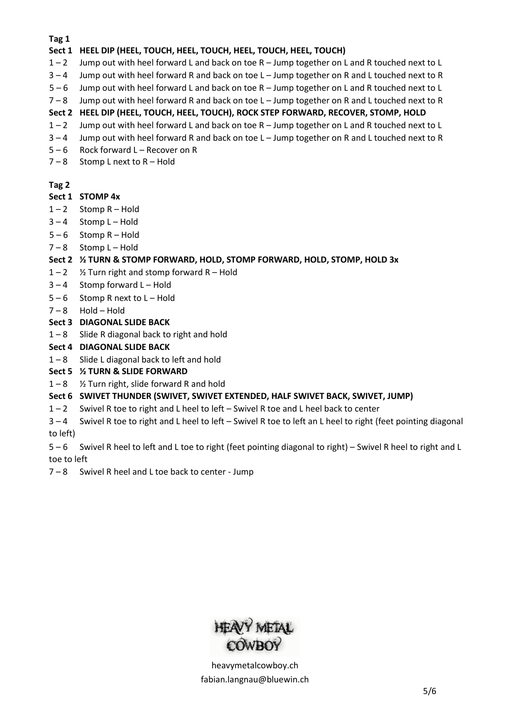**Tag 1**

## **Sect 1 HEEL DIP (HEEL, TOUCH, HEEL, TOUCH, HEEL, TOUCH, HEEL, TOUCH)**

- 1 2 Jump out with heel forward L and back on toe R Jump together on L and R touched next to L
- 3 4 Jump out with heel forward R and back on toe L Jump together on R and L touched next to R
- 5 6 Jump out with heel forward L and back on toe R Jump together on L and R touched next to L
- 7 8 Jump out with heel forward R and back on toe L Jump together on R and L touched next to R

# **Sect 2 HEEL DIP (HEEL, TOUCH, HEEL, TOUCH), ROCK STEP FORWARD, RECOVER, STOMP, HOLD**

- 1 2 Jump out with heel forward L and back on toe R Jump together on L and R touched next to L
- $3 4$  Jump out with heel forward R and back on toe L Jump together on R and L touched next to R
- 5 6 Rock forward L Recover on R
- $7 8$  Stomp L next to R Hold

## **Tag 2**

## **Sect 1 STOMP 4x**

- $1 2$  Stomp R Hold
- $3 4$  Stomp L Hold
- $5 6$  Stomp R Hold
- $7 8$  Stomp L-Hold

# **Sect 2 ½ TURN & STOMP FORWARD, HOLD, STOMP FORWARD, HOLD, STOMP, HOLD 3x**

- $1 2$  % Turn right and stomp forward R Hold
- $3 4$  Stomp forward L Hold
- $5 6$  Stomp R next to  $L -$  Hold
- $7 8$  Hold Hold
- **Sect 3 DIAGONAL SLIDE BACK**
- 1 8 Slide R diagonal back to right and hold
- **Sect 4 DIAGONAL SLIDE BACK**
- 1 8 Slide L diagonal back to left and hold

## **Sect 5 ½ TURN & SLIDE FORWARD**

 $1 - 8$  % Turn right, slide forward R and hold

## **Sect 6 SWIVET THUNDER (SWIVET, SWIVET EXTENDED, HALF SWIVET BACK, SWIVET, JUMP)**

- 1 2 Swivel R toe to right and L heel to left Swivel R toe and L heel back to center
- 3 4 Swivel R toe to right and L heel to left Swivel R toe to left an L heel to right (feet pointing diagonal to left)

5 – 6 Swivel R heel to left and L toe to right (feet pointing diagonal to right) – Swivel R heel to right and L toe to left

7 – 8 Swivel R heel and L toe back to center - Jump